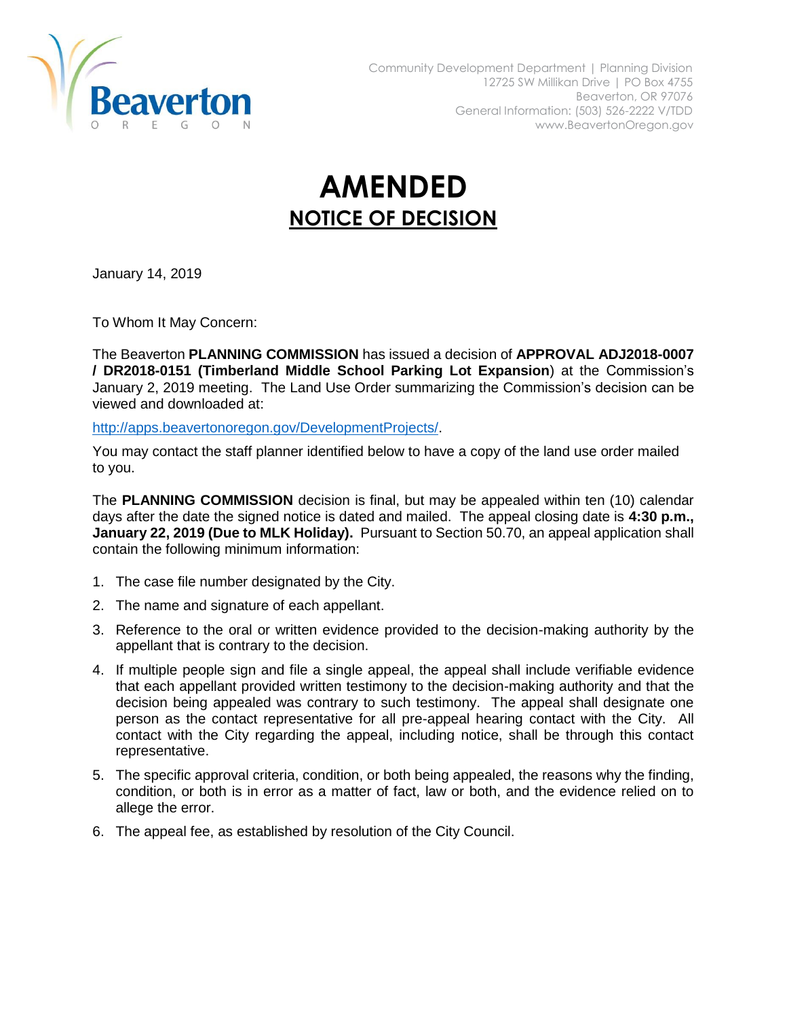

## **AMENDED NOTICE OF DECISION**

January 14, 2019

To Whom It May Concern:

The Beaverton **PLANNING COMMISSION** has issued a decision of **APPROVAL ADJ2018-0007 / DR2018-0151 (Timberland Middle School Parking Lot Expansion**) at the Commission's January 2, 2019 meeting. The Land Use Order summarizing the Commission's decision can be viewed and downloaded at:

[http://apps.beavertonoregon.gov/DevelopmentProjects/.](http://apps.beavertonoregon.gov/DevelopmentProjects/)

You may contact the staff planner identified below to have a copy of the land use order mailed to you.

The **PLANNING COMMISSION** decision is final, but may be appealed within ten (10) calendar days after the date the signed notice is dated and mailed. The appeal closing date is **4:30 p.m., January 22, 2019 (Due to MLK Holiday).** Pursuant to Section 50.70, an appeal application shall contain the following minimum information:

- 1. The case file number designated by the City.
- 2. The name and signature of each appellant.
- 3. Reference to the oral or written evidence provided to the decision-making authority by the appellant that is contrary to the decision.
- 4. If multiple people sign and file a single appeal, the appeal shall include verifiable evidence that each appellant provided written testimony to the decision-making authority and that the decision being appealed was contrary to such testimony. The appeal shall designate one person as the contact representative for all pre-appeal hearing contact with the City. All contact with the City regarding the appeal, including notice, shall be through this contact representative.
- 5. The specific approval criteria, condition, or both being appealed, the reasons why the finding, condition, or both is in error as a matter of fact, law or both, and the evidence relied on to allege the error.
- 6. The appeal fee, as established by resolution of the City Council.